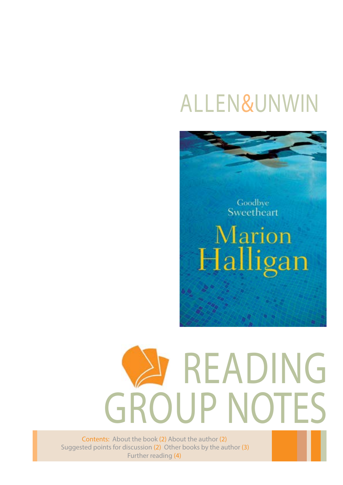# Allen&Unwin

Goodbye<br>Sweetheart

Marion Halligan

# READING GROUP NOTES

Contents: About the book (2) About the author (2) Suggested points for discussion (2) Other books by the author (3) Further reading (4)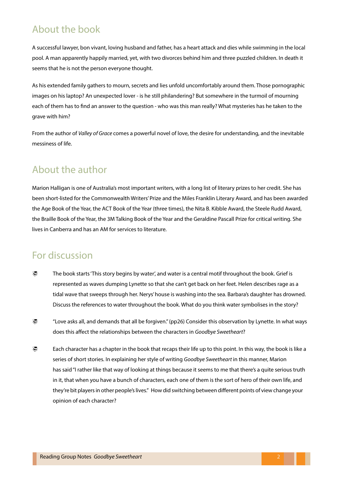#### About the book

A successful lawyer, bon vivant, loving husband and father, has a heart attack and dies while swimming in the local pool. A man apparently happily married, yet, with two divorces behind him and three puzzled children. In death it seems that he is not the person everyone thought.

As his extended family gathers to mourn, secrets and lies unfold uncomfortably around them. Those pornographic images on his laptop? An unexpected lover - is he still philandering? But somewhere in the turmoil of mourning each of them has to find an answer to the question - who was this man really? What mysteries has he taken to the grave with him?

From the author of *Valley of Grace* comes a powerful novel of love, the desire for understanding, and the inevitable messiness of life.

#### About the author

Marion Halligan is one of Australia's most important writers, with a long list of literary prizes to her credit. She has been short-listed for the Commonwealth Writers' Prize and the Miles Franklin Literary Award, and has been awarded the Age Book of the Year, the ACT Book of the Year (three times), the Nita B. Kibble Award, the Steele Rudd Award, the Braille Book of the Year, the 3M Talking Book of the Year and the Geraldine Pascall Prize for critical writing. She lives in Canberra and has an AM for services to literature.

#### For discussion

- The book starts 'This story begins by water', and water is a central motif throughout the book. Grief is represented as waves dumping Lynette so that she can't get back on her feet. Helen describes rage as a tidal wave that sweeps through her. Nerys' house is washing into the sea. Barbara's daughter has drowned. Discuss the references to water throughout the book. What do you think water symbolises in the story?
- "Love asks all, and demands that all be forgiven." (pp26) Consider this observation by Lynette. In what ways does this affect the relationships between the characters in *Goodbye Sweetheart*?
- Each character has a chapter in the book that recaps their life up to this point. In this way, the book is like a series of short stories. In explaining her style of writing *Goodbye Sweetheart* in this manner, Marion has said "I rather like that way of looking at things because it seems to me that there's a quite serious truth in it, that when you have a bunch of characters, each one of them is the sort of hero of their own life, and they're bit players in other people's lives.'' How did switching between different points of view change your opinion of each character?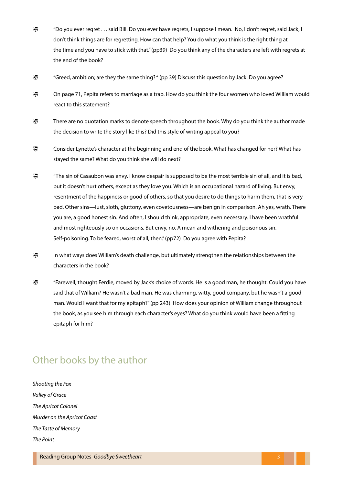- "Do you ever regret . . . said Bill. Do you ever have regrets, I suppose I mean. No, I don't regret, said Jack, I don't think things are for regretting. How can that help? You do what you think is the right thing at the time and you have to stick with that." (pp39) Do you think any of the characters are left with regrets at the end of the book?
- "Greed, ambition; are they the same thing? " (pp 39) Discuss this question by Jack. Do you agree?
- On page 71, Pepita refers to marriage as a trap. How do you think the four women who loved William would react to this statement?
- There are no quotation marks to denote speech throughout the book. Why do you think the author made the decision to write the story like this? Did this style of writing appeal to you?
- Consider Lynette's character at the beginning and end of the book. What has changed for her? What has stayed the same? What do you think she will do next?
- "The sin of Casaubon was envy. I know despair is supposed to be the most terrible sin of all, and it is bad, but it doesn't hurt others, except as they love you. Which is an occupational hazard of living. But envy, resentment of the happiness or good of others, so that you desire to do things to harm them, that is very bad. Other sins—lust, sloth, gluttony, even covetousness—are benign in comparison. Ah yes, wrath. There you are, a good honest sin. And often, I should think, appropriate, even necessary. I have been wrathful and most righteously so on occasions. But envy, no. A mean and withering and poisonous sin. Self-poisoning. To be feared, worst of all, then." (pp72) Do you agree with Pepita?
- In what ways does William's death challenge, but ultimately strengthen the relationships between the characters in the book?
- "Farewell, thought Ferdie, moved by Jack's choice of words. He is a good man, he thought. Could you have said that of William? He wasn't a bad man. He was charming, witty, good company, but he wasn't a good man. Would I want that for my epitaph?" (pp 243) How does your opinion of William change throughout the book, as you see him through each character's eyes? What do you think would have been a fitting epitaph for him?

## Other books by the author

*Shooting the Fox Valley of Grace The Apricot Colonel Murder on the Apricot Coast The Taste of Memory The Point*